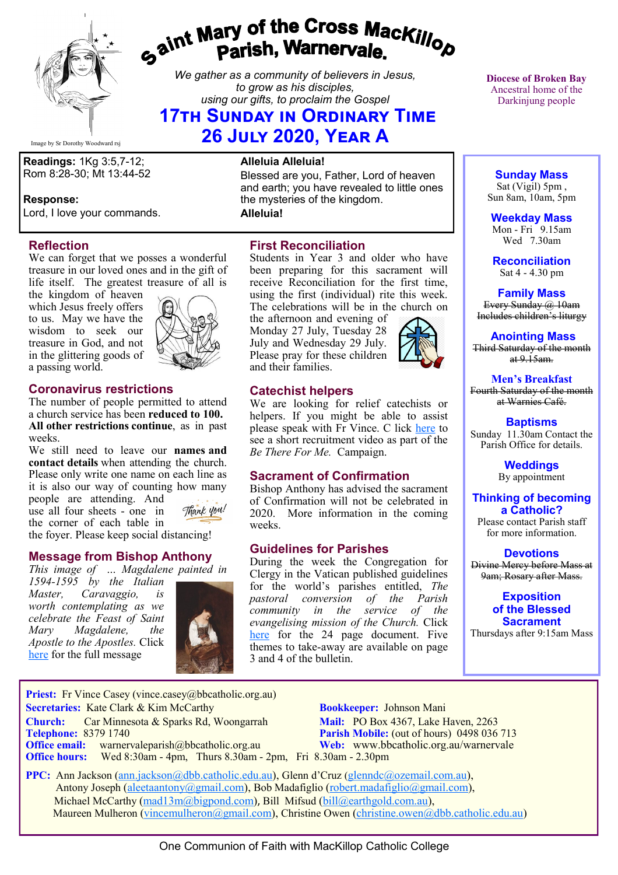

# *Gaint Mary of the Cross MacKillop*<br>*Gaint* **Parish, Warnervale.**

*We gather as a community of believers in Jesus, to grow as his disciples, using our gifts, to proclaim the Gospel*

# **17th Sunday in Ordinary Time 26 July 2020, Year A**

Image by Sr Dorothy Woodward rsj

**Readings:** 1Kg 3:5,7-12; Rom 8:28-30; Mt 13:44-52

#### **Response:**

Lord, I love your commands.

## **Reflection**

We can forget that we posses a wonderful treasure in our loved ones and in the gift of life itself. The greatest treasure of all is

the kingdom of heaven which Jesus freely offers to us. May we have the wisdom to seek our treasure in God, and not in the glittering goods of a passing world.



# **Coronavirus restrictions**

The number of people permitted to attend a church service has been **reduced to 100. All other restrictions continue**, as in past weeks.

We still need to leave our **names and contact details** when attending the church. Please only write one name on each line as it is also our way of counting how many people are attending. And Thank you! use all four sheets - one in the corner of each table in the foyer. Please keep social distancing!

# **Message from Bishop Anthony**

*This image of … Magdalene painted in* 

*1594-1595 by the Italian Master, Caravaggio, is worth contemplating as we celebrate the Feast of Saint Mary Magdalene, the Apostle to the Apostles.* Click [here](https://bbcatholic.us8.list-manage.com/track/click?u=466af249e088db70ab864d088&id=ba78d6167c&e=082a8c9b01) for the full message



#### **Alleluia Alleluia!**

Blessed are you, Father, Lord of heaven and earth; you have revealed to little ones the mysteries of the kingdom.

**Alleluia!**

# **First Reconciliation**

Students in Year 3 and older who have been preparing for this sacrament will receive Reconciliation for the first time, using the first (individual) rite this week. The celebrations will be in the church on

the afternoon and evening of Monday 27 July, Tuesday 28 July and Wednesday 29 July. Please pray for these children and their families.

# **Catechist helpers**

We are looking for relief catechists or helpers. If you might be able to assist please speak with Fr Vince. C lick [here](https://bbcatholic.us8.list-manage.com/track/click?u=466af249e088db70ab864d088&id=276763f349&e=082a8c9b01) to see a short recruitment video as part of the *Be There For Me.* Campaign.

## **Sacrament of Confirmation**

Bishop Anthony has advised the sacrament of Confirmation will not be celebrated in 2020. More information in the coming weeks.

## **Guidelines for Parishes**

During the week the Congregation for Clergy in the Vatican published guidelines for the world's parishes entitled, *The pastoral conversion of the Parish community in the service of the evangelising mission of the Church.* Click [here](https://press.vatican.va/content/salastampa/it/bollettino/pubblico/2020/07/20/0391/00886.html#en) for the 24 page document. Five themes to take-away are available on page 3 and 4 of the bulletin.

**Diocese of Broken Bay**  Ancestral home of the Darkinjung people

# **Sunday Mass**

Sat (Vigil) 5pm , Sun 8am, 10am, 5pm

**Weekday Mass** Mon - Fri 9.15am Wed 7.30am

**Reconciliation** Sat 4 - 4.30 pm

**Family Mass**  Every Sunday @ 10am Includes children's liturgy

**Anointing Mass** Third Saturday of the month  $at 9.15am.$ 

**Men's Breakfast** Fourth Saturday of the month at Warnies Café.

**Baptisms** Sunday 11.30am Contact the Parish Office for details.

> **Weddings**  By appointment

**Thinking of becoming a Catholic?** Please contact Parish staff

for more information.

**Devotions** Divine Mercy before Mass at 9am; Rosary after Mass.

> **Exposition of the Blessed Sacrament**

Thursdays after 9:15am Mass

**Priest:** Fr Vince Casey (vince.casey@bbcatholic.org.au) **Secretaries:** Kate Clark & Kim McCarthy **Bookkeeper:** Johnson Mani **Church:** Car Minnesota & Sparks Rd, Woongarrah **Mail:** PO Box 4367, Lake Haven, 2263<br> **Telephone:** 8379 1740 **Parish Mobile:** (out of hours) 0498 036 **Office email:** warnervaleparish@bbcatholic.org.au **Web:** [www.bbcatholic.org.au/warnervale](https://www.bbcatholic.org.au/warnervale)

**Parish Mobile:** (out of hours) 0498 036 713 **Office hours:** Wed 8:30am - 4pm, Thurs 8.30am - 2pm, Fri 8.30am - 2.30pm

 **PPC:** Ann Jackson ([ann.jackson@dbb.catholic.edu.au\),](mailto:ann.jackson@dbb.catholic.edu.au) Glenn d'Cruz ([glenndc@ozemail.com.au\)](mailto:glenndc@ozemail.com.au), Antony Joseph ([aleetaantony@gmail.com\),](mailto:aleetaantony@gmail.com) Bob Madafiglio [\(robert.madafiglio@gmail.com\),](mailto:robert.madafiglio@gmail.com) Michael McCarthy ([mad13m@bigpond.com\)](mailto:mad13m@bigpond.com), Bill Mifsud ([bill@earthgold.com.au\),](mailto:bill@earthgold.com.au) Maureen Mulheron ([vincemulheron@gmail.com\)](mailto:vincemulheron@gmail.com), Christine Owen (christine.owen[@dbb.catholic.edu.au\)](mailto:ann.jackson@dbb.catholic.edu.au)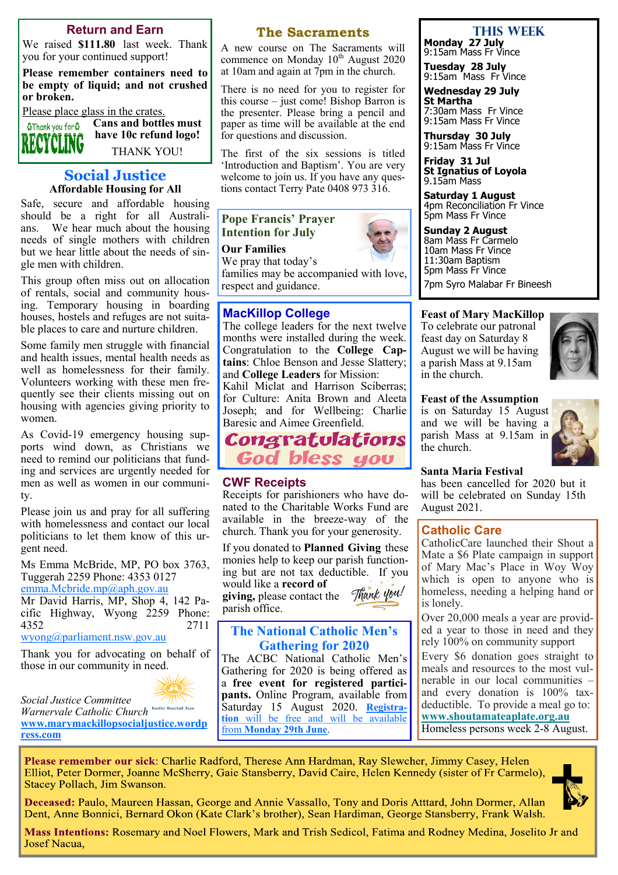#### **Return and Earn**

We raised **\$111.80** last week. Thank you for your continued support!

**Please remember containers need to be empty of liquid; and not crushed or broken.** 

Please place glass in the crates.

**Cans and bottles must O**Thank you for **O have 10c refund logo!** INĜ

THANK YOU!

#### **Social Justice Affordable Housing for All**

Safe, secure and affordable housing should be a right for all Australians. We hear much about the housing needs of single mothers with children but we hear little about the needs of single men with children.

This group often miss out on allocation of rentals, social and community housing. Temporary housing in boarding houses, hostels and refuges are not suitable places to care and nurture children.

Some family men struggle with financial and health issues, mental health needs as well as homelessness for their family. Volunteers working with these men frequently see their clients missing out on housing with agencies giving priority to women.

As Covid-19 emergency housing supports wind down, as Christians we need to remind our politicians that funding and services are urgently needed for men as well as women in our community.

Please join us and pray for all suffering with homelessness and contact our local politicians to let them know of this urgent need.

Ms Emma McBride, MP, PO box 3763, Tuggerah 2259 Phone: 4353 0127 [emma.Mcbride.mp@aph.gov.au](mailto:emma.Mcbride.mp@aph.gov.au)

Mr David Harris, MP, Shop 4, 142 Pacific Highway, Wyong 2259 Phone: 4352 2711

[wyong@parliament.nsw.gov.au](mailto:wyong@parliament.nsw.gov.au)

Thank you for advocating on behalf of those in our community in need.



*Social Justice Committee* 

*Warnervale Catholic Church* **[www.marymackillopsocialjustice.wordp](http://www.marymackillopsocialjustice.wordpress.com) [ress.com](http://www.marymackillopsocialjustice.wordpress.com)**

#### **The Sacraments**

A new course on The Sacraments will commence on Monday 10<sup>th</sup> August 2020 at 10am and again at 7pm in the church.

There is no need for you to register for this course – just come! Bishop Barron is the presenter. Please bring a pencil and paper as time will be available at the end for questions and discussion.

The first of the six sessions is titled 'Introduction and Baptism'. You are very welcome to join us. If you have any questions contact Terry Pate 0408 973 316.

#### **Pope Francis' Prayer Intention for July**

**Our Families**

We pray that today's families may be accompanied with love, respect and guidance.

#### **MacKillop College**

The college leaders for the next twelve months were installed during the week. Congratulation to the **College Captains**: Chloe Benson and Jesse Slattery; and **College Leaders** for Mission:

Kahil Miclat and Harrison Sciberras; for Culture: Anita Brown and Aleeta Joseph; and for Wellbeing: Charlie Baresic and Aimee Greenfield.



#### **CWF Receipts**

Receipts for parishioners who have donated to the Charitable Works Fund are available in the breeze-way of the church. Thank you for your generosity.

If you donated to **Planned Giving** these monies help to keep our parish functioning but are not tax deductible. If you would like a **record of**  Thank you! **giving,** please contact the parish office.

## **The National Catholic Men's Gathering for 2020**

The ACBC National Catholic Men's Gathering for 2020 is being offered as a **free event for registered participants.** Online Program, available from Saturday 15 August 2020. **[Registra](https://agora.catholic.org.au/l/576423/2020-06-22/mq26g)[tion](https://agora.catholic.org.au/l/576423/2020-06-22/mq26g)** [will be free and will be available](https://agora.catholic.org.au/l/576423/2020-06-22/mq26g)  from **[Monday 29th June](https://agora.catholic.org.au/l/576423/2020-06-22/mq26g)**.

## **This week**

**Monday 27 July** 9:15am Mass Fr Vince

**Tuesday 28 July** 9:15am Mass Fr Vince

**Wednesday 29 July St Martha** 7:30am Mass Fr Vince 9:15am Mass Fr Vince

**Thursday 30 July** 9:15am Mass Fr Vince

**Friday 31 Jul St Ignatius of Loyola** 9.15am Mass

**Saturday 1 August** 4pm Reconciliation Fr Vince 5pm Mass Fr Vince

**Sunday 2 August** 8am Mass Fr Carmelo 10am Mass Fr Vince 11:30am Baptism 5pm Mass Fr Vince 7pm Syro Malabar Fr Bineesh

#### **Feast of Mary MacKillop**

To celebrate our patronal feast day on Saturday 8 August we will be having a parish Mass at 9.15am in the church.



#### **Feast of the Assumption**

is on Saturday 15 August and we will be having a parish Mass at 9.15am in the church.



#### **Santa Maria Festival**

has been cancelled for 2020 but it will be celebrated on Sunday 15th August 2021.

#### **Catholic Care**

CatholicCare launched their Shout a Mate a \$6 Plate campaign in support of Mary Mac's Place in Woy Woy which is open to anyone who is homeless, needing a helping hand or is lonely.

Over 20,000 meals a year are provided a year to those in need and they rely 100% on community support Every \$6 donation goes straight to meals and resources to the most vulnerable in our local communities –

and every donation is 100% taxdeductible. To provide a meal go to: **[www.shoutamateaplate.org.au](https://bbcatholic.us8.list-manage.com/track/click?u=466af249e088db70ab864d088&id=359e44f7a7&e=e312df0f80)**

Homeless persons week 2-8 August.

Please remember our sick: Charlie Radford, Therese Ann Hardman, Ray Slewcher, Jimmy Casey, Helen Elliot, Peter Dormer, Joanne McSherry, Gaie Stansberry, David Caire, Helen Kennedy (sister of Fr Carmelo), Stacey Pollach, Jim Swanson.



Deceased: Paulo, Maureen Hassan, George and Annie Vassallo, Tony and Doris Atttard, John Dormer, Allan Dent, Anne Bonnici, Bernard Okon (Kate Clark's brother), Sean Hardiman, George Stansberry, Frank Walsh.

Mass Intentions: Rosemary and Noel Flowers, Mark and Trish Sedicol, Fatima and Rodney Medina, Joselito Jr and **Josef Nacua,** 

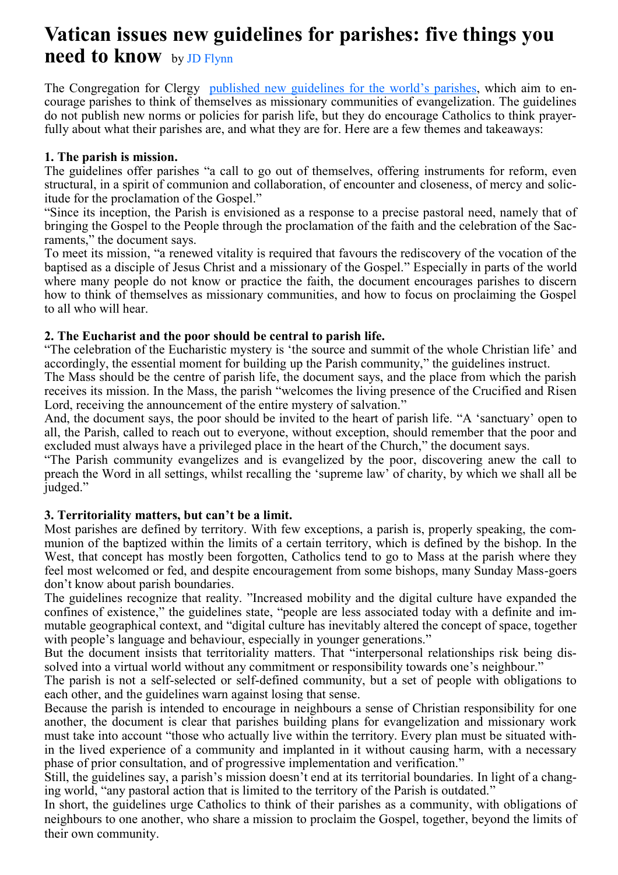# **Vatican issues new guidelines for parishes: five things you need to know** by [JD Flynn](https://plus.google.com/112392333977496651137?rel=author)

The Congregation for Clergy [published new guidelines for the world](https://press.vatican.va/content/salastampa/it/bollettino/pubblico/2020/07/20/0391/00886.html#ing)'s parishes, which aim to encourage parishes to think of themselves as missionary communities of evangelization. The guidelines do not publish new norms or policies for parish life, but they do encourage Catholics to think prayerfully about what their parishes are, and what they are for. Here are a few themes and takeaways:

# **1. The parish is mission.**

The guidelines offer parishes "a call to go out of themselves, offering instruments for reform, even structural, in a spirit of communion and collaboration, of encounter and closeness, of mercy and solicitude for the proclamation of the Gospel."

"Since its inception, the Parish is envisioned as a response to a precise pastoral need, namely that of bringing the Gospel to the People through the proclamation of the faith and the celebration of the Sacraments," the document says.

To meet its mission, "a renewed vitality is required that favours the rediscovery of the vocation of the baptised as a disciple of Jesus Christ and a missionary of the Gospel." Especially in parts of the world where many people do not know or practice the faith, the document encourages parishes to discern how to think of themselves as missionary communities, and how to focus on proclaiming the Gospel to all who will hear.

# **2. The Eucharist and the poor should be central to parish life.**

"The celebration of the Eucharistic mystery is 'the source and summit of the whole Christian life' and accordingly, the essential moment for building up the Parish community," the guidelines instruct.

The Mass should be the centre of parish life, the document says, and the place from which the parish receives its mission. In the Mass, the parish "welcomes the living presence of the Crucified and Risen Lord, receiving the announcement of the entire mystery of salvation."

And, the document says, the poor should be invited to the heart of parish life. "A 'sanctuary' open to all, the Parish, called to reach out to everyone, without exception, should remember that the poor and excluded must always have a privileged place in the heart of the Church," the document says.

"The Parish community evangelizes and is evangelized by the poor, discovering anew the call to preach the Word in all settings, whilst recalling the 'supreme law' of charity, by which we shall all be judged."

# **3. Territoriality matters, but can't be a limit.**

Most parishes are defined by territory. With few exceptions, a parish is, properly speaking, the communion of the baptized within the limits of a certain territory, which is defined by the bishop. In the West, that concept has mostly been forgotten, Catholics tend to go to Mass at the parish where they feel most welcomed or fed, and despite encouragement from some bishops, many Sunday Mass-goers don't know about parish boundaries.

The guidelines recognize that reality. "Increased mobility and the digital culture have expanded the confines of existence," the guidelines state, "people are less associated today with a definite and immutable geographical context, and "digital culture has inevitably altered the concept of space, together with people's language and behaviour, especially in younger generations."

But the document insists that territoriality matters. That "interpersonal relationships risk being dissolved into a virtual world without any commitment or responsibility towards one's neighbour."

The parish is not a self-selected or self-defined community, but a set of people with obligations to each other, and the guidelines warn against losing that sense.

Because the parish is intended to encourage in neighbours a sense of Christian responsibility for one another, the document is clear that parishes building plans for evangelization and missionary work must take into account "those who actually live within the territory. Every plan must be situated within the lived experience of a community and implanted in it without causing harm, with a necessary phase of prior consultation, and of progressive implementation and verification."

Still, the guidelines say, a parish's mission doesn't end at its territorial boundaries. In light of a changing world, "any pastoral action that is limited to the territory of the Parish is outdated."

In short, the guidelines urge Catholics to think of their parishes as a community, with obligations of neighbours to one another, who share a mission to proclaim the Gospel, together, beyond the limits of their own community.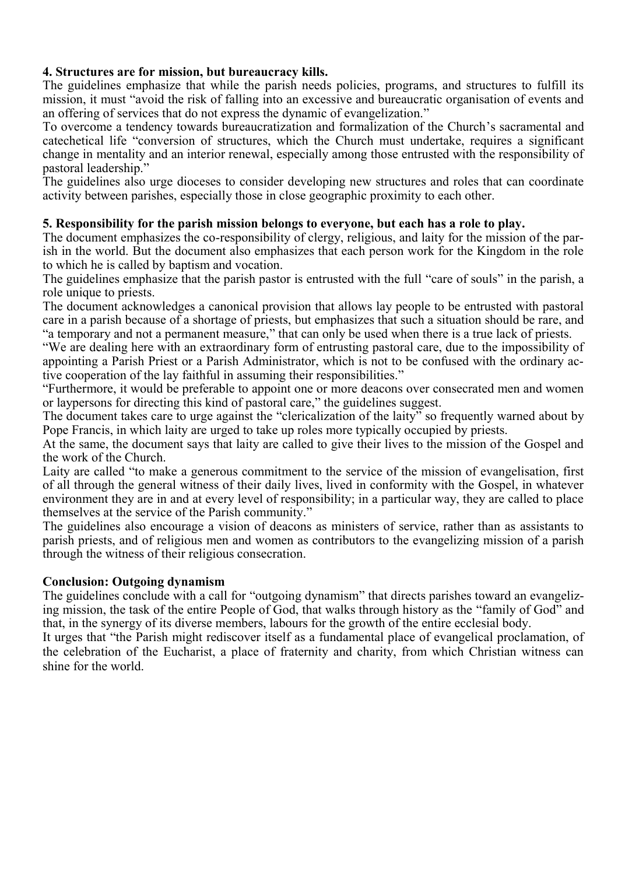# **4. Structures are for mission, but bureaucracy kills.**

The guidelines emphasize that while the parish needs policies, programs, and structures to fulfill its mission, it must "avoid the risk of falling into an excessive and bureaucratic organisation of events and an offering of services that do not express the dynamic of evangelization."

To overcome a tendency towards bureaucratization and formalization of the Church's sacramental and catechetical life "conversion of structures, which the Church must undertake, requires a significant change in mentality and an interior renewal, especially among those entrusted with the responsibility of pastoral leadership."

The guidelines also urge dioceses to consider developing new structures and roles that can coordinate activity between parishes, especially those in close geographic proximity to each other.

# **5. Responsibility for the parish mission belongs to everyone, but each has a role to play.**

The document emphasizes the co-responsibility of clergy, religious, and laity for the mission of the parish in the world. But the document also emphasizes that each person work for the Kingdom in the role to which he is called by baptism and vocation.

The guidelines emphasize that the parish pastor is entrusted with the full "care of souls" in the parish, a role unique to priests.

The document acknowledges a canonical provision that allows lay people to be entrusted with pastoral care in a parish because of a shortage of priests, but emphasizes that such a situation should be rare, and "a temporary and not a permanent measure," that can only be used when there is a true lack of priests.

"We are dealing here with an extraordinary form of entrusting pastoral care, due to the impossibility of appointing a Parish Priest or a Parish Administrator, which is not to be confused with the ordinary active cooperation of the lay faithful in assuming their responsibilities."

"Furthermore, it would be preferable to appoint one or more deacons over consecrated men and women or laypersons for directing this kind of pastoral care," the guidelines suggest.

The document takes care to urge against the "clericalization of the laity" so frequently warned about by Pope Francis, in which laity are urged to take up roles more typically occupied by priests.

At the same, the document says that laity are called to give their lives to the mission of the Gospel and the work of the Church.

Laity are called "to make a generous commitment to the service of the mission of evangelisation, first of all through the general witness of their daily lives, lived in conformity with the Gospel, in whatever environment they are in and at every level of responsibility; in a particular way, they are called to place themselves at the service of the Parish community."

The guidelines also encourage a vision of deacons as ministers of service, rather than as assistants to parish priests, and of religious men and women as contributors to the evangelizing mission of a parish through the witness of their religious consecration.

# **Conclusion: Outgoing dynamism**

The guidelines conclude with a call for "outgoing dynamism" that directs parishes toward an evangelizing mission, the task of the entire People of God, that walks through history as the "family of God" and that, in the synergy of its diverse members, labours for the growth of the entire ecclesial body.

It urges that "the Parish might rediscover itself as a fundamental place of evangelical proclamation, of the celebration of the Eucharist, a place of fraternity and charity, from which Christian witness can shine for the world.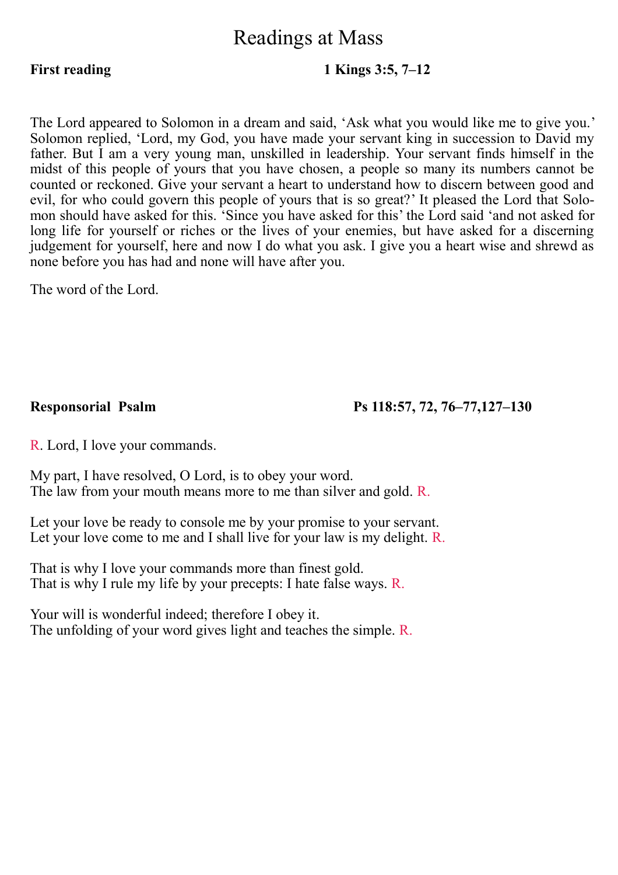# Readings at Mass

# **First reading 1 Kings 3:5, 7–12**

The Lord appeared to Solomon in a dream and said, 'Ask what you would like me to give you.' Solomon replied, 'Lord, my God, you have made your servant king in succession to David my father. But I am a very young man, unskilled in leadership. Your servant finds himself in the midst of this people of yours that you have chosen, a people so many its numbers cannot be counted or reckoned. Give your servant a heart to understand how to discern between good and evil, for who could govern this people of yours that is so great?' It pleased the Lord that Solomon should have asked for this. 'Since you have asked for this' the Lord said 'and not asked for long life for yourself or riches or the lives of your enemies, but have asked for a discerning judgement for yourself, here and now I do what you ask. I give you a heart wise and shrewd as none before you has had and none will have after you.

The word of the Lord.

**Responsorial Psalm Ps 118:57, 72, 76–77,127–130** 

R. Lord, I love your commands.

My part, I have resolved, O Lord, is to obey your word. The law from your mouth means more to me than silver and gold. R.

Let your love be ready to console me by your promise to your servant. Let your love come to me and I shall live for your law is my delight. R.

That is why I love your commands more than finest gold. That is why I rule my life by your precepts: I hate false ways. R.

Your will is wonderful indeed; therefore I obey it. The unfolding of your word gives light and teaches the simple. R.